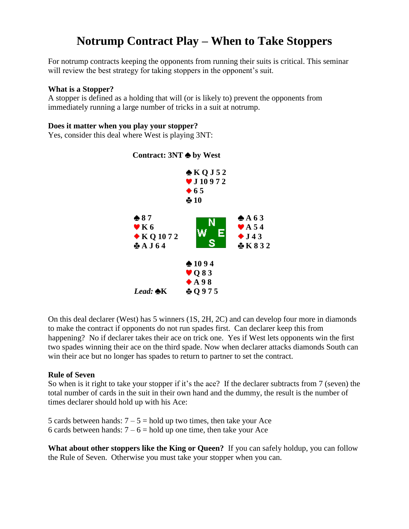# **Notrump Contract Play – When to Take Stoppers**

For notrump contracts keeping the opponents from running their suits is critical. This seminar will review the best strategy for taking stoppers in the opponent's suit.

#### **What is a Stopper?**

A stopper is defined as a holding that will (or is likely to) prevent the opponents from immediately running a large number of tricks in a suit at notrump.

#### **Does it matter when you play your stopper?**

Yes, consider this deal where West is playing 3NT:



#### **Contract: 3NT by West**

On this deal declarer (West) has 5 winners (1S, 2H, 2C) and can develop four more in diamonds to make the contract if opponents do not run spades first. Can declarer keep this from happening? No if declarer takes their ace on trick one. Yes if West lets opponents win the first two spades winning their ace on the third spade. Now when declarer attacks diamonds South can win their ace but no longer has spades to return to partner to set the contract.

#### **Rule of Seven**

So when is it right to take your stopper if it's the ace? If the declarer subtracts from 7 (seven) the total number of cards in the suit in their own hand and the dummy, the result is the number of times declarer should hold up with his Ace:

5 cards between hands:  $7 - 5 =$  hold up two times, then take your Ace 6 cards between hands:  $7 - 6 =$  hold up one time, then take your Ace

What about other stoppers like the King or Queen? If you can safely holdup, you can follow the Rule of Seven. Otherwise you must take your stopper when you can.